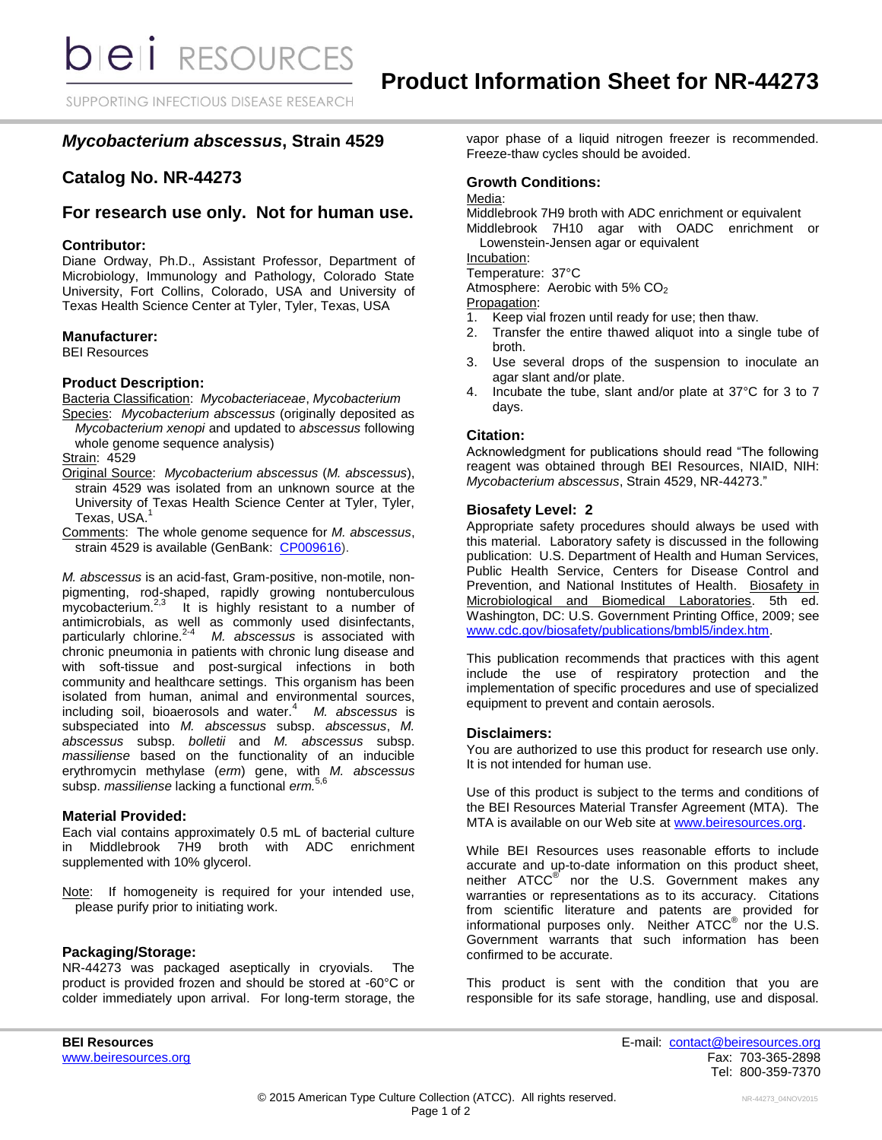SUPPORTING INFECTIOUS DISEASE RESEARCH

# *Mycobacterium abscessus***, Strain 4529**

# **Catalog No. NR-44273**

# **For research use only. Not for human use.**

## **Contributor:**

Diane Ordway, Ph.D., Assistant Professor, Department of Microbiology, Immunology and Pathology, Colorado State University, Fort Collins, Colorado, USA and University of Texas Health Science Center at Tyler, Tyler, Texas, USA

## **Manufacturer:**

BEI Resources

### **Product Description:**

Bacteria Classification: *Mycobacteriaceae*, *Mycobacterium*

Species: *Mycobacterium abscessus* (originally deposited as *Mycobacterium xenopi* and updated to *abscessus* following whole genome sequence analysis)

## Strain: 4529

- Original Source: *Mycobacterium abscessus* (*M. abscessus*), strain 4529 was isolated from an unknown source at the University of Texas Health Science Center at Tyler, Tyler, Texas, USA.<sup>1</sup>
- Comments: The whole genome sequence for *M. abscessus*, strain 4529 is available (GenBank: [CP009616\)](http://www.ncbi.nlm.nih.gov/nuccore/CP009616).

*M. abscessus* is an acid-fast, Gram-positive, non-motile, nonpigmenting, rod-shaped, rapidly growing nontuberculous mycobacterium.<sup>2,3</sup> It is highly resistant to a number of antimicrobials, as well as commonly used disinfectants, particularly chlorine.2-4 *M. abscessus* is associated with chronic pneumonia in patients with chronic lung disease and with soft-tissue and post-surgical infections in both community and healthcare settings. This organism has been isolated from human, animal and environmental sources, including soil, bioaerosols and water.<sup>4</sup> M. abscessus is subspeciated into *M. abscessus* subsp. *abscessus*, *M. abscessus* subsp. *bolletii* and *M. abscessus* subsp. *massiliense* based on the functionality of an inducible erythromycin methylase (*erm*) gene, with *M. abscessus* subsp. *massiliense* lacking a functional *erm.*5,6

## **Material Provided:**

Each vial contains approximately 0.5 mL of bacterial culture in Middlebrook 7H9 broth with ADC enrichment supplemented with 10% glycerol.

Note: If homogeneity is required for your intended use, please purify prior to initiating work.

#### **Packaging/Storage:**

NR-44273 was packaged aseptically in cryovials. The product is provided frozen and should be stored at -60°C or colder immediately upon arrival. For long-term storage, the vapor phase of a liquid nitrogen freezer is recommended. Freeze-thaw cycles should be avoided.

# **Growth Conditions:**

# Media:

Middlebrook 7H9 broth with ADC enrichment or equivalent Middlebrook 7H10 agar with OADC enrichment or

Lowenstein-Jensen agar or equivalent Incubation:

Temperature: 37°C

Atmosphere: Aerobic with 5%  $CO<sub>2</sub>$ 

Propagation:

1. Keep vial frozen until ready for use; then thaw.

- 2. Transfer the entire thawed aliquot into a single tube of broth.
- 3. Use several drops of the suspension to inoculate an agar slant and/or plate.
- 4. Incubate the tube, slant and/or plate at 37°C for 3 to 7 days.

## **Citation:**

Acknowledgment for publications should read "The following reagent was obtained through BEI Resources, NIAID, NIH: *Mycobacterium abscessus*, Strain 4529, NR-44273."

## **Biosafety Level: 2**

Appropriate safety procedures should always be used with this material. Laboratory safety is discussed in the following publication: U.S. Department of Health and Human Services, Public Health Service, Centers for Disease Control and Prevention, and National Institutes of Health. Biosafety in Microbiological and Biomedical Laboratories. 5th ed. Washington, DC: U.S. Government Printing Office, 2009; see [www.cdc.gov/biosafety/publications/bmbl5/index.htm.](http://www.cdc.gov/biosafety/publications/bmbl5/index.htm)

This publication recommends that practices with this agent include the use of respiratory protection and the implementation of specific procedures and use of specialized equipment to prevent and contain aerosols.

## **Disclaimers:**

You are authorized to use this product for research use only. It is not intended for human use.

Use of this product is subject to the terms and conditions of the BEI Resources Material Transfer Agreement (MTA). The MTA is available on our Web site at [www.beiresources.org.](http://www.beiresources.org/)

While BEI Resources uses reasonable efforts to include accurate and up-to-date information on this product sheet, neither ATCC<sup>®</sup> nor the U.S. Government makes any warranties or representations as to its accuracy. Citations from scientific literature and patents are provided for informational purposes only. Neither  $\tt{ATCC}^{\circledR}$  nor the U.S. Government warrants that such information has been confirmed to be accurate.

This product is sent with the condition that you are responsible for its safe storage, handling, use and disposal.

**BEI Resources** E-mail: [contact@beiresources.org](mailto:contact@beiresources.org) [www.beiresources.org](http://www.beiresources.org/) Fax: 703-365-2898 Tel: 800-359-7370